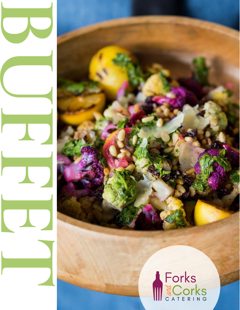# SCOTKS

I

I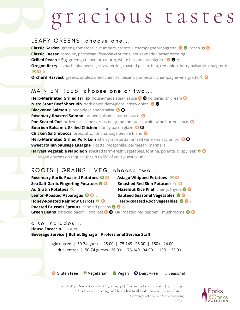### gracious tastes

#### LEAFY GREENS choose one...

**Classic Garden** greens, tomatoes, cucumbers, carrots + champagne vinaigrette **@ 0**, ranch  $\heartsuit$  **G Classic Caesar** romaine, parmesan, focaccia croutons, house-made Caesar dressing **Grilled Peach + Fig** greens, crisped prosciutto, white balsamic vinaigrette ☼ **Oregon Berry** spinach, blueberries, strawberries, toasted pecan, feta, red onion, berry balsamic vinaigrette  $\mathbf{Q} \otimes \mathbf{Q}$ 

**Orchard Harvest** greens, apples, dried cherries, pecans, parmesan, champagne vinaigrette  $\mathbf{\mathbf{\Phi}}$ 

#### MAIN ENTREES choose one or two...

LEAF<br>
Classic<br>
Classic<br>
Classic<br>
Grilled<br>
Oregon<br>
WAII<br>
Herb-M<br>
Nitro St<br>
Blacker<br>
Rosema<br>
Pan-Sea<br>
Bourbo<br>
Chicker<br>
Herb-M<br>
Sweet I<br>
Herb-M<br>
Sweet I<br>
Herb-M<br>
Sweet I<br>
Herb-M<br>
Sweet I<br>
Herb-M<br>
Sweet I<br>
Herb-M<br>
Sweet I<br>
Her **Herb-Marinated Grilled Tri Tip** house-made steak sauce **<b> O** horseradish cream **O Nitro Stout Beef Short Rib** dark onion demi-glace, crispy onion **Blackened Salmon** pineapple jalapeno salsa **O Rosemary-Roasted Salmon** orange balsamic butter sauce **Pan-Seared Cod** artichokes, capers, roasted grape tomatoes, white wine butter sauce **G Bourbon Balsamic Grilled Chicken** honey bacon glaze **Chicken Saltimbocca** prosciutto, fontina, sage beurre blanc **Herb-Marinated Grilled Pork Loin** cherry mostarda -or- red wine + crispy onion  $\odot$   $\odot$ **Sweet Italian Sausage Lasagne** ricotta, mozzarella, parmesan, marinara **Harvest Vegetable Napoleon** roasted farm-fresh vegetables, fontina, polenta, crispy leek  $\mathbf{\mathbf{\odot}}$  **G** vegan entrees on request for up to 5% of your guest count

### ROOTS | GRAINS | VEG choose two...

**Rosemary Garlic Roasted Potatoes**  $\bullet$  **<b>G** Asiago-Whipped Potatoes  $\bullet$  **G Sea Salt Garlic Fingerling Potatoes**  $\overline{\mathbf{O}}$  **<b>G** Smashed Red Skin Potatoes  $\overline{\mathbf{O}}$  **G Au Gratin Potatoes**  $\mathbf{\mathbf{\Psi}}$  **Hazelnut Rice Pilaf** cherry, thyme  $\mathbf{\mathbf{\Phi}}$  **G Lemon-Roasted Asparagus**  $\bullet$  $\bullet$  $\bullet$  $\bullet$  **Sauteed Seasonal Vegetables**  $\bullet$  $\bullet$ **Honey-Roasted Rainbow Carrots**  $\widehat{\mathbf{V}}$  **G Herb-Roasted Root Vegetables**  $\widehat{\mathbf{V}}$  **G**  $\approx$ 

**Roasted Brussels Sprouts** candied pecans **☼ Green Beans** smoked bacon + shallots **O** OR roasted red pepper + mushrooms **O** G

#### also includes...

**Thouse Focal**<br>Beverage Section<br>Sing<br>Sing **House Focaccia** + butter **Beverage Service | Buffet Signage | Professional Service Staff**

single entree | 50-74 guests 28.00 | 75-149 26.00 | 150+ 24.00 dual entree | 50-74 guests 36.00 | 75-149 34.00 | 150+ 32.00

G Gluten Free *V* Vegetarian **V** Vegan **O** Dairy-Free  $\ast$  Seasonal

1324 NW 9th Street, Corvallis, Oregon 97330 | forksandcorkscatering.com | 541.286.4412 A 21% operations charge will be applied to all food, beverage, and rental items Copyright ©Forks and Corks Catering  $[2 \text{ of } 5]$